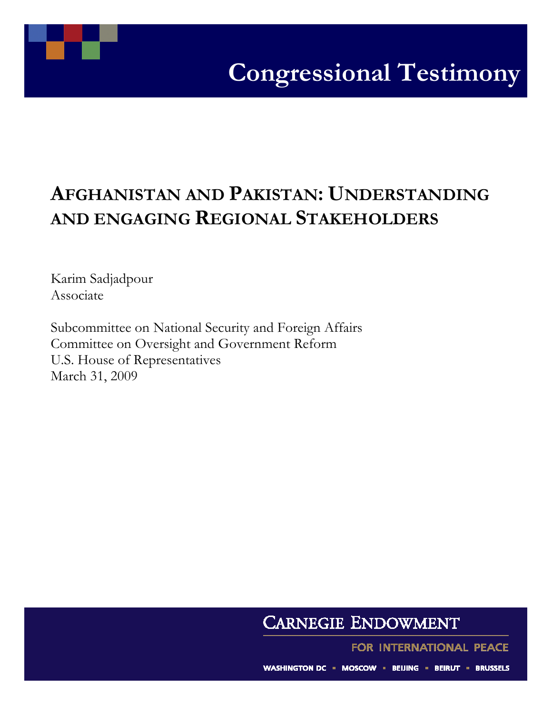## AFGHANISTAN AND PAKISTAN: UNDERSTANDING AND ENGAGING REGIONAL STAKEHOLDERS

 Associate Karim Sadjadpour

Subcommittee on National Security and Foreign Affairs Committee on Oversight and Government Reform U.S. House of Representatives March 31, 2009

## **CARNEGIE ENDOWMENT**

FOR INTERNATIONAL PEACE

WASHINGTON DC = MOSCOW = BEIJING = BEIRUT = BRUSSELS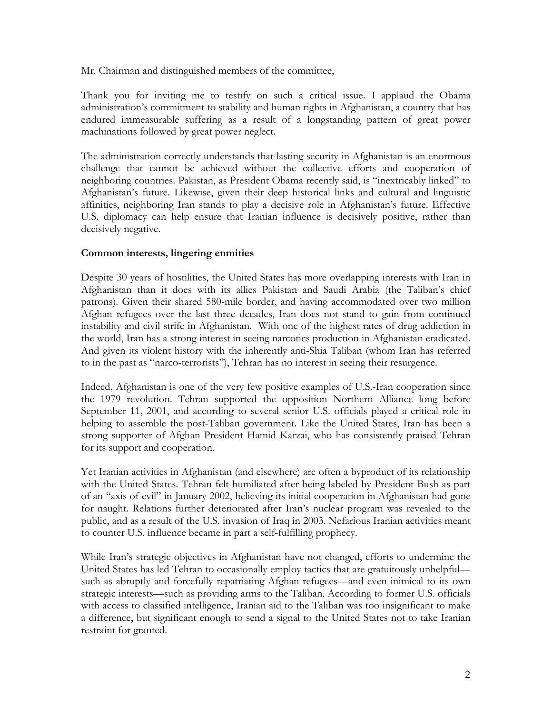Mr. Chairman and distinguished members of the committee,

Thank you for inviting me to testify on such a critical issue. I applaud the Obama administration's commitment to stability and human rights in Afghanistan, a country that has endured immeasurable suffering as a result of a longstanding pattern of great power machinations followed by great power neglect.

The administration correctly understands that lasting security in Afghanistan is an enormous challenge that cannot be achieved without the collective efforts and cooperation of neighboring countries. Pakistan, as President Obama recently said, is "inextricably linked" to Afghanistan's future. Likewise, given their deep historical links and cultural and linguistic affinities, neighboring Iran stands to play a decisive role in Afghanistan's future. Effective U.S. diplomacy can help ensure that Iranian influence is decisively positive, rather than decisively negative.

## Common interests, lingering enmities

Despite 30 years of hostilities, the United States has more overlapping interests with Iran in Afghanistan than it does with its allies Pakistan and Saudi Arabia (the Taliban's chief patrons). Given their shared 580-mile border, and having accommodated over two million Afghan refugees over the last three decades, Iran does not stand to gain from continued instability and civil strife in Afghanistan. With one of the highest rates of drug addiction in the world, Iran has a strong interest in seeing narcotics production in Afghanistan eradicated. And given its violent history with the inherently anti-Shia Taliban (whom Iran has referred to in the past as "narco-terrorists"), Tehran has no interest in seeing their resurgence.

Indeed, Afghanistan is one of the very few positive examples of U.S.-Iran cooperation since the 1979 revolution. Tehran supported the opposition Northern Alliance long before September 11, 2001, and according to several senior U.S. officials played a critical role in helping to assemble the post-Taliban government. Like the United States, Iran has been a strong supporter of Afghan President Hamid Karzai, who has consistently praised Tehran for its support and cooperation.

Yet Iranian activities in Afghanistan (and elsewhere) are often a byproduct of its relationship with the United States. Tehran felt humiliated after being labeled by President Bush as part of an "axis of evil" in January 2002, believing its initial cooperation in Afghanistan had gone for naught. Relations further deteriorated after Iran's nuclear program was revealed to the public, and as a result of the U.S. invasion of Iraq in 2003. Nefarious Iranian activities meant to counter U.S. influence became in part a self-fulfilling prophecy.

While Iran's strategic objectives in Afghanistan have not changed, efforts to undermine the United States has led Tehran to occasionally employ tactics that are gratuitously unhelpful such as abruptly and forcefully repatriating Afghan refugees—and even inimical to its own strategic interests—such as providing arms to the Taliban. According to former U.S. officials with access to classified intelligence, Iranian aid to the Taliban was too insignificant to make a difference, but significant enough to send a signal to the United States not to take Iranian restraint for granted.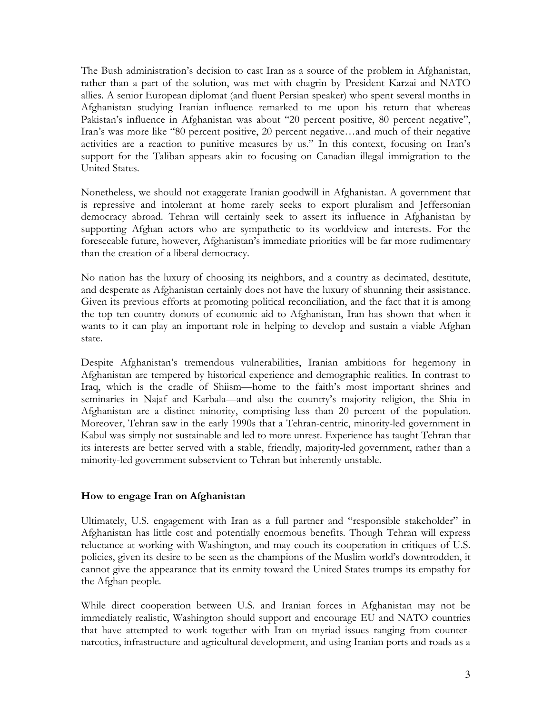The Bush administration's decision to cast Iran as a source of the problem in Afghanistan, rather than a part of the solution, was met with chagrin by President Karzai and NATO allies. A senior European diplomat (and fluent Persian speaker) who spent several months in Afghanistan studying Iranian influence remarked to me upon his return that whereas Pakistan's influence in Afghanistan was about "20 percent positive, 80 percent negative", Iran's was more like "80 percent positive, 20 percent negative…and much of their negative activities are a reaction to punitive measures by us." In this context, focusing on Iran's support for the Taliban appears akin to focusing on Canadian illegal immigration to the United States.

Nonetheless, we should not exaggerate Iranian goodwill in Afghanistan. A government that is repressive and intolerant at home rarely seeks to export pluralism and Jeffersonian democracy abroad. Tehran will certainly seek to assert its influence in Afghanistan by supporting Afghan actors who are sympathetic to its worldview and interests. For the foreseeable future, however, Afghanistan's immediate priorities will be far more rudimentary than the creation of a liberal democracy.

No nation has the luxury of choosing its neighbors, and a country as decimated, destitute, and desperate as Afghanistan certainly does not have the luxury of shunning their assistance. Given its previous efforts at promoting political reconciliation, and the fact that it is among the top ten country donors of economic aid to Afghanistan, Iran has shown that when it wants to it can play an important role in helping to develop and sustain a viable Afghan state.

Despite Afghanistan's tremendous vulnerabilities, Iranian ambitions for hegemony in Afghanistan are tempered by historical experience and demographic realities. In contrast to Iraq, which is the cradle of Shiism—home to the faith's most important shrines and seminaries in Najaf and Karbala—and also the country's majority religion, the Shia in Afghanistan are a distinct minority, comprising less than 20 percent of the population. Moreover, Tehran saw in the early 1990s that a Tehran-centric, minority-led government in Kabul was simply not sustainable and led to more unrest. Experience has taught Tehran that its interests are better served with a stable, friendly, majority-led government, rather than a minority-led government subservient to Tehran but inherently unstable.

## How to engage Iran on Afghanistan

Ultimately, U.S. engagement with Iran as a full partner and "responsible stakeholder" in Afghanistan has little cost and potentially enormous benefits. Though Tehran will express reluctance at working with Washington, and may couch its cooperation in critiques of U.S. policies, given its desire to be seen as the champions of the Muslim world's downtrodden, it cannot give the appearance that its enmity toward the United States trumps its empathy for the Afghan people.

While direct cooperation between U.S. and Iranian forces in Afghanistan may not be immediately realistic, Washington should support and encourage EU and NATO countries that have attempted to work together with Iran on myriad issues ranging from counternarcotics, infrastructure and agricultural development, and using Iranian ports and roads as a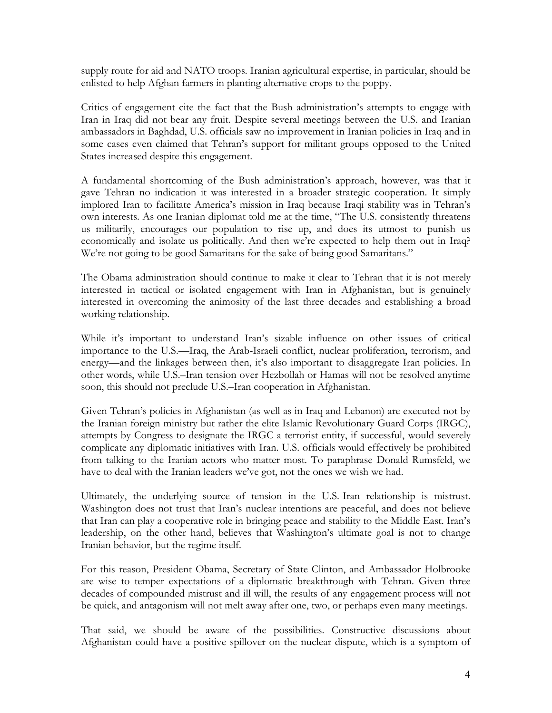supply route for aid and NATO troops. Iranian agricultural expertise, in particular, should be enlisted to help Afghan farmers in planting alternative crops to the poppy.

Critics of engagement cite the fact that the Bush administration's attempts to engage with Iran in Iraq did not bear any fruit. Despite several meetings between the U.S. and Iranian ambassadors in Baghdad, U.S. officials saw no improvement in Iranian policies in Iraq and in some cases even claimed that Tehran's support for militant groups opposed to the United States increased despite this engagement.

A fundamental shortcoming of the Bush administration's approach, however, was that it gave Tehran no indication it was interested in a broader strategic cooperation. It simply implored Iran to facilitate America's mission in Iraq because Iraqi stability was in Tehran's own interests. As one Iranian diplomat told me at the time, "The U.S. consistently threatens us militarily, encourages our population to rise up, and does its utmost to punish us economically and isolate us politically. And then we're expected to help them out in Iraq? We're not going to be good Samaritans for the sake of being good Samaritans."

The Obama administration should continue to make it clear to Tehran that it is not merely interested in tactical or isolated engagement with Iran in Afghanistan, but is genuinely interested in overcoming the animosity of the last three decades and establishing a broad working relationship.

While it's important to understand Iran's sizable influence on other issues of critical importance to the U.S.—Iraq, the Arab-Israeli conflict, nuclear proliferation, terrorism, and energy—and the linkages between then, it's also important to disaggregate Iran policies. In other words, while U.S.–Iran tension over Hezbollah or Hamas will not be resolved anytime soon, this should not preclude U.S.–Iran cooperation in Afghanistan.

Given Tehran's policies in Afghanistan (as well as in Iraq and Lebanon) are executed not by the Iranian foreign ministry but rather the elite Islamic Revolutionary Guard Corps (IRGC), attempts by Congress to designate the IRGC a terrorist entity, if successful, would severely complicate any diplomatic initiatives with Iran. U.S. officials would effectively be prohibited from talking to the Iranian actors who matter most. To paraphrase Donald Rumsfeld, we have to deal with the Iranian leaders we've got, not the ones we wish we had.

Ultimately, the underlying source of tension in the U.S.-Iran relationship is mistrust. Washington does not trust that Iran's nuclear intentions are peaceful, and does not believe that Iran can play a cooperative role in bringing peace and stability to the Middle East. Iran's leadership, on the other hand, believes that Washington's ultimate goal is not to change Iranian behavior, but the regime itself.

For this reason, President Obama, Secretary of State Clinton, and Ambassador Holbrooke are wise to temper expectations of a diplomatic breakthrough with Tehran. Given three decades of compounded mistrust and ill will, the results of any engagement process will not be quick, and antagonism will not melt away after one, two, or perhaps even many meetings.

That said, we should be aware of the possibilities. Constructive discussions about Afghanistan could have a positive spillover on the nuclear dispute, which is a symptom of